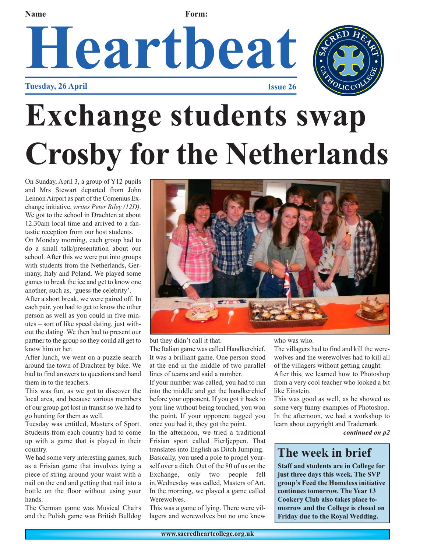# **Heartbeat Name Form:**





## **Exchange students swap Crosby for the Netherlands**

On Sunday, April 3, a group of Y12 pupils and Mrs Stewart departed from John Lennon Airport as part of the Comenius Exchange initiative, *writes Peter Riley (12D)*. We got to the school in Drachten at about 12.30am local time and arrived to a fantastic reception from our host students.

On Monday morning, each group had to do a small talk/presentation about our school. After this we were put into groups with students from the Netherlands, Germany, Italy and Poland. We played some games to break the ice and get to know one another, such as, 'guess the celebrity'.

After a short break, we were paired off. In each pair, you had to get to know the other person as well as you could in five minutes – sort of like speed dating, just without the dating. We then had to present our partner to the group so they could all get to know him or her.

After lunch, we went on a puzzle search around the town of Drachten by bike. We had to find answers to questions and hand them in to the teachers.

This was fun, as we got to discover the local area, and because various members of our group got lost in transit so we had to go hunting for them as well.

Tuesday was entitled, Masters of Sport. Students from each country had to come up with a game that is played in their country.

We had some very interesting games, such as a Frisian game that involves tying a piece of string around your waist with a nail on the end and getting that nail into a bottle on the floor without using your hands.

The German game was Musical Chairs and the Polish game was British Bulldog



but they didn't call it that.

The Italian game was called Handkerchief. It was a brilliant game. One person stood at the end in the middle of two parallel lines of teams and said a number.

If your number was called, you had to run into the middle and get the handkerchief before your opponent. If you got it back to your line without being touched, you won the point. If your opponent tagged you once you had it, they got the point.

In the afternoon, we tried a traditional Frisian sport called Fierljeppen. That translates into English as Ditch Jumping. Basically, you used a pole to propel yourself over a ditch. Out of the 80 of us on the Exchange, only two people fell in.Wednesday was called, Masters of Art. In the morning, we played a game called Werewolves.

This was a game of lying. There were villagers and werewolves but no one knew

who was who.

The villagers had to find and kill the werewolves and the werewolves had to kill all of the villagers without getting caught.

After this, we learned how to Photoshop from a very cool teacher who looked a bit like Einstein.

This was good as well, as he showed us some very funny examples of Photoshop. In the afternoon, we had a workshop to learn about copyright and Trademark.

*continued on p2*

## **The week in brief**

**Staff and students are in College for just three days this week. The SVP group's Feed the Homeless initiative continues tomorrow. The Year 13 Cookery Club also takes place tomorrow and the College is closed on Friday due to the Royal Wedding.**